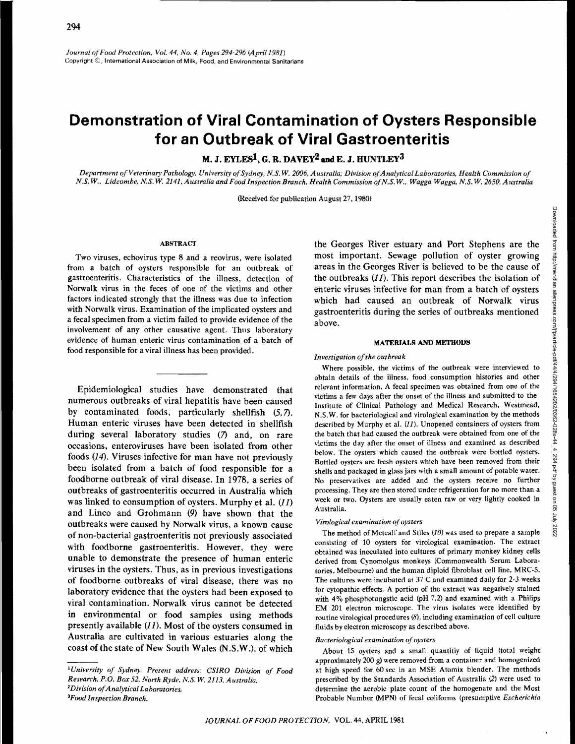*Journal o\_fFood Protection. Vol. 44, No.4, Pages 294·296 IApril1981)*  Copyright ©, International Association of Milk, Food, and Environmental Sanitarians

# **Demonstration of Viral Contamination of Oysters Responsible for an Outbreak of Viral Gastroenteritis**

**M. J. EYLESl, G. R. DAVEY2andE. J. HUNTLEY3** 

*Department of Veterinary Pathology, University ofSydney, N.S. W. 2006, Australia; Division of Analytical Laboratories, Health Commission of N.S. W., Lidcombe, N.S. W. 2141, Australia and Food Inspection Branch, Health Commission of N.S. W .. Wagga Wagga, N.S. W. 2650, Australia* 

(Received for publication August 27,1980)

## ABSTRACT

Two viruses, echovirus type 8 and a reovirus, were isolated from a batch of oysters responsible for an outbreak of gastroenteritis. Characteristics of the illness, detection of Norwalk virus in the feces of one of the victims and other factors indicated strongly that the illness was due to infection with Norwalk virus. Examination of the implicated oysters and a fecal specimen from a victim failed to provide evidence of the involvement of any other causative agent. Thus laboratory evidence of human enteric virus contamination of a batch of food responsible for a viral illness has been provided.

Epidemiological studies have demonstrated that numerous outbreaks of viral hepatitis have been caused by contaminated foods, particularly shellfish  $(5, 7)$ . Human enteric viruses have been detected in shellfish during several laboratory studies (7) and, on rare occasions, enteroviruses have been isolated from other foods (14). Viruses infective for man have not previously been isolated from a batch of food responsible for a foodborne outbreak of viral disease. In 1978, a series of outbreaks of gastroenteritis occurred in Australia which was linked to consumption of oysters. Murphy et al.  $(11)$ and Linco and Grohmann (9) have shown that the outbreaks were caused by Norwalk virus, a known cause of non-bacterial gastroenteritis not previously associated with foodborne gastroenteritis. However, they were unable to demonstrate the presence of human enteric viruses in the oysters. Thus, as in previous investigations of foodborne outbreaks of viral disease, there was no laboratory evidence that the oysters had been exposed to viral contamination. Norwalk virus cannot be detected in environmental or food samples using methods presently available  $(II)$ . Most of the oysters consumed in Australia are cultivated in various estuaries along the coast of the state of New South Wales (N.S.W.), of which

*Food Inspection Branch.* 

the Georges River estuary and Port Stephens are the most important. Sewage pollution of oyster growing areas in the Georges River is believed to be the cause of the outbreaks  $(11)$ . This report describes the isolation of enteric viruses infective for man from a batch of oysters which had caused an outbreak of Norwalk virus gastroenteritis during the series of outbreaks mentioned above.

#### MATERIALS AND METHODS

#### *Investigation of the outbreak*

Where possible, the victims of the outbreak were interviewed to obtain details of the illness, food consumption histories and other relevant information. A fecal specimen was obtained from one of the victims a few days after the onset of the illness and submitted to the Institute of Clinical Pathology and Medical Research, Westmead, N.S.W. for bacteriological and virological examination by the methods described by Murphy et al. (11). Unopened containers of oysters from the batch that had caused the outbreak were obtained from one of the victims the day after the onset of illness and examined as described below. The oysters which caused the outbreak were bottled oysters. Bottled oysters are fresh oysters which have been removed from their shells and packaged in glass jars with a small amount of potable water. No preservatives are added and the oysters receive no further processing. They are then stored under refrigeration for no more than a week or two. Oysters are usually eaten raw or very lightly cooked in Australia.

#### *Virological examination of oysters*

The method of Metcalf and Stiles (JO) was used to prepare a sample consisting of 10 oysters for virological examination. The extract obtained was inoculated into cultures of primary monkey kidney cells derived from Cynomolgus monkeys (Commonwealth Serum Laboratories. Melbourne) and the human diploid fibroblast cell line, MRC-5. The cultures were incubated at 37 C and examined daily for 2-3 weeks for cytopathic effects. A portion of the extract was negatively stained with 4% phosphotungstic acid (pH 7.2) and examined with a Philips EM 201 electron microscope. The virus isolates were identified by routine virological procedures  $(\delta)$ , including examination of cell culture fluids by electron microscopy as described above.

## *Bacteriological examination of oysters*

About 15 oysters and a small quantitiy of liquid (total weight approximately 200 g) were removed from a container and homogenized at high speed for 60 sec in an MSE Atomix blender. The methods prescribed by the Standards Association of Australia (2) were used to determine the aerobic plate count of the homogenate and the Most Probable Number (MPN) of fecal coliforms (presumptive *Escherichia* 

*<sup>1</sup>University of Sydney. Present address: CSIRO Division of Food Research, P.O. Box 52. North Ryde, N.S. W. 2113, Australia.* <sup>2</sup>Division of Analytical Laboratories.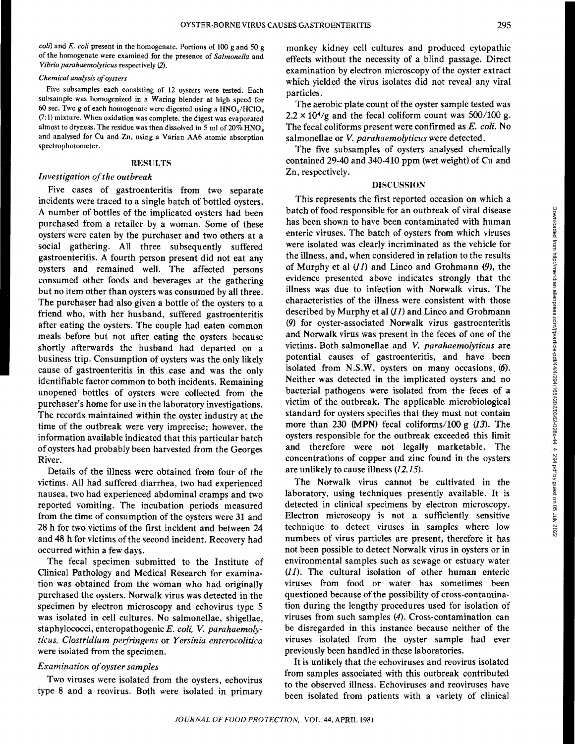*coil)* and *E. coli* present in the homogenate. Portions of 100 g and SO g of the homogenate were examined for the presence of *Salmonella* and *Vibrio parahaemolyticus* respectively (2).

# *Chemical analysis of oysters*

Five subsamples each consisting of 12 oysters were tested. Each subsample was homogenized in a Waring blender at high speed for 60 sec. Two g of each homogenate were digested using a  $HNO<sub>3</sub>/HClO<sub>4</sub>$ (7: 1) mixture. When oxidation was complete, the digest was evaporated almost to dryness. The residue was then dissolved in 5 ml of 20% HNO<sub>3</sub> and analysed for Cu and Zn, using a Varian AA6 atomic absorption spectrophotometer.

## RESULTS

# *Investigation of the outbreak*

Five cases of gastroenteritis from two separate incidents were traced to a single batch of bottled oysters. A number of bottles of the implicated oysters had been purchased from a retailer by a woman. Some of these oysters were eaten by the purchaser and two others at a social gathering. All three subsequently suffered gastroenteritis. A fourth person present did not eat any oysters and remained well. The affected persons consumed other foods and beverages at the gathering but no item other than oysters was consumed by all three. The purchaser had also given a bottle of the oysters to a friend who, with her husband, suffered gastroenteritis after eating the oysters. The couple had eaten common meals before but not after eating the oysters because shortly afterwards the husband had departed on a business trip. Consumption of oysters was the only likely cause of gastroenteritis in this case and was the only identifiable factor common to both incidents. Remaining unopened bottles of oysters were collected from the purchaser's home for use in the laboratory investigations. The records maintained within the oyster industry at the time of the outbreak were very imprecise; however, the information available indicated that this particular batch of oysters had probably been harvested from the Georges River.

Details of the illness were obtained from four of the victims. All had suffered diarrhea, two had experienced nausea, two had experienced abdominal cramps and two reported vomiting. The incubation periods measured from the time of consumption of the oysters were 31 and 28 h for two victims of the first incident and between 24 and 48 h for victims of the second incident. Recovery had occurred within a few days.

The fecal specimen submitted to the Institute of Clinical Pathology and Medical Research for examination was obtained from the woman who had originally purchased the oysters. Norwalk virus was detected in the specimen by electron microscopy and echovirus type 5 was isolated in cell cultures. No salmonellae, shigellae, staphylococci, enteropathogenic *E. coli, V. parahaemolyticus, Clostridium perfringens* or *Yersinia enterocolitica*  were isolated from the specimen.

# *Examination of oyster samples*

Two viruses were isolated from the oysters, echovirus type 8 and a reovirus. Both were isolated in primary monkey kidney cell cultures and produced cytopathic effects without the necessity of a blind passage. Direct examination by electron microscopy of the oyster extract which yielded the virus isolates did not reveal any viral particles.

The aerobic plate count of the oyster sample tested was  $2.2 \times 10^{4}/g$  and the fecal coliform count was 500/100 g. The fecal coliforms present were confirmed as *E. coli.* No salmonellae or *V. parahaemolyticus* were detected.

The five subsamples of oysters analysed chemically contained 29-40 and 340-410 ppm (wet weight) of Cu and Zn, respectively.

## DISCUSSION

This represents the first reported occasion on which a batch of food responsible for an outbreak of viral disease has been shown to have been contaminated with human enteric viruses. The batch of oysters from which viruses were isolated was clearly incriminated as the vehicle for the illness, and, when considered in relation to the results of Murphy et al  $(11)$  and Linco and Grohmann  $(9)$ , the evidence presented above indicates strongly that the illness was due to infection with Norwalk virus. The characteristics of the illness were consistent with those described by Murphy et al  $(11)$  and Linco and Grohmann (9) for oyster-associated Norwalk virus gastroenteritis and Norwalk virus was present in the feces of one of the victims. Both salmonellae and *V. parahaemolyticus* are potential causes of gastroenteritis, and have been isolated from N.S.W. oysters on many occasions. (6). Neither was detected in the implicated oysters and no bacterial pathogens were isolated from the feces of a victim of the outbreak. The applicable microbiological standard for oysters specifies that they must not contain more than 230 (MPN) fecal coliforms/100 g  $(13)$ . The oysters responsible for the outbreak exceeded this limit and therefore were not legally marketable. The concentrations of copper and zinc found in the oysters are unlikely to cause illness (12,15).

The Norwalk virus cannot be cultivated in the laboratory, using techniques presently available. It is detected in clinical specimens by electron microscopy. Electron microscopy is not a sufficiently sensitive technique to detect viruses in samples where low numbers of virus particles are present, therefore it has not been possible to detect Norwalk virus in oysters or in environmental samples such as sewage or estuary water (11). The cultural isolation of other human enteric viruses from food or water has sometimes been questioned because of the possibility of cross-contamination during the lengthy procedures used for isolation of viruses from such samples (4). Cross-contamination can be disregarded in this instance because neither of the viruses isolated from the oyster sample had ever previously been handled in these laboratories.

It is unlikely that the echoviruses and reovirus isolated from samples associated with this outbreak contributed to the observed illness. Echoviruses and reoviruses have been isolated from patients with a variety of clinical